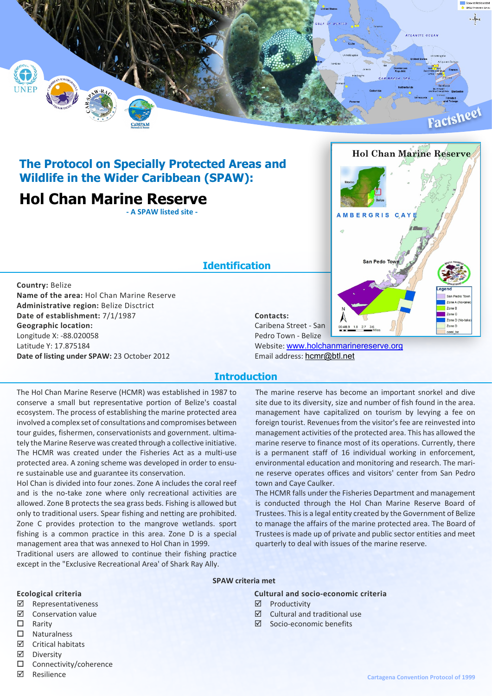

## **The Protocol on Specially Protected Areas and Wildlife in the Wider Caribbean (SPAW):**

## **Hol Chan Marine Reserve**

**- A SPAW listed site -**

## **Identification**

**Country:** Belize **Name of the area:** Hol Chan Marine Reserve **Administrative region:** Belize Disctrict **Date of establishment:** 7/1/1987 **Geographic location:** Longitude X: -88.020058 Latitude Y: 17.875184 **Date of listing under SPAW:** 23 October 2012

# **Hol Chan Marine Reserve** MBERGRIS CA **Can Pode Tou** Zone A (No Zone B Zone C Zone D (No Zone D coral\_bz Pedro Town - Belize

**Contacts:**

Caribena Street - San

Website: <www.holchanmarinereserve.org> Email address: hcmr@btl.net

### **Introduction**

The Hol Chan Marine Reserve (HCMR) was established in 1987 to conserve a small but representative portion of Belize's coastal ecosystem. The process of establishing the marine protected area involved a complex set of consultations and compromises between tour guides, fishermen, conservationists and government. ultimately the Marine Reserve was created through a collective initiative. The HCMR was created under the Fisheries Act as a multi-use protected area. A zoning scheme was developed in order to ensure sustainable use and guarantee its conservation.

Hol Chan is divided into four zones. Zone A includes the coral reef and is the no-take zone where only recreational activities are allowed. Zone B protects the sea grass beds. Fishing is allowed but only to traditional users. Spear fishing and netting are prohibited. Zone C provides protection to the mangrove wetlands. sport fishing is a common practice in this area. Zone D is a special management area that was annexed to Hol Chan in 1999.

Traditional users are allowed to continue their fishing practice except in the "Exclusive Recreational Area' of Shark Ray Ally.

The marine reserve has become an important snorkel and dive site due to its diversity, size and number of fish found in the area. management have capitalized on tourism by levying a fee on foreign tourist. Revenues from the visitor's fee are reinvested into management activities of the protected area. This has allowed the marine reserve to finance most of its operations. Currently, there is a permanent staff of 16 individual working in enforcement, environmental education and monitoring and research. The marine reserve operates offices and visitors' center from San Pedro town and Caye Caulker.

The HCMR falls under the Fisheries Department and management is conducted through the Hol Chan Marine Reserve Board of Trustees. This is a legal entity created by the Government of Belize to manage the affairs of the marine protected area. The Board of Trustees is made up of private and public sector entities and meet quarterly to deal with issues of the marine reserve.

#### **SPAW criteria met**

#### **Ecological criteria**

- ˛ Representativeness
- ˛ Conservation value
- $\Box$  Rarity
- $\square$  Naturalness
- ˛ Critical habitats
- ˛ Diversity
- $\square$  Connectivity/coherence
- ˛ Resilience

**Cultural and socio-economic criteria**

 $\boxtimes$  Cultural and traditional use

˛ Productivity